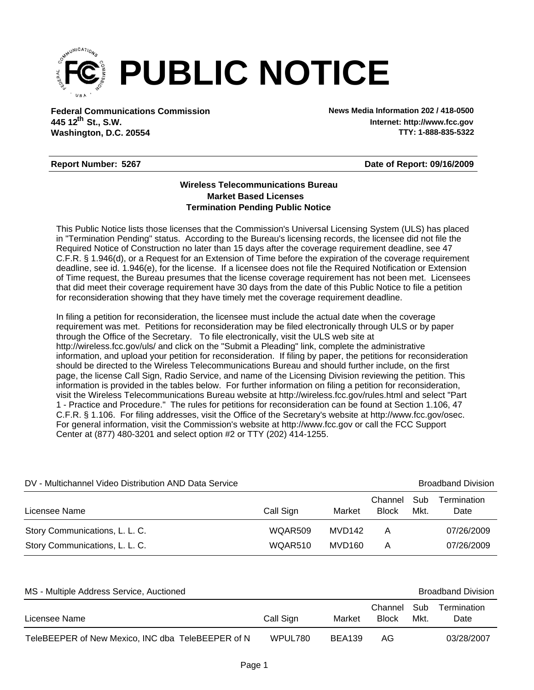

**Federal Communications Commission News Media Information 202 / 418-0500 Washington, D.C. 20554 th 445 12 St., S.W.**

**Internet: http://www.fcc.gov TTY: 1-888-835-5322**

## **Report Number: 5267**

**Date of Report: 09/16/2009**

## **Wireless Telecommunications Bureau Market Based Licenses Termination Pending Public Notice**

This Public Notice lists those licenses that the Commission's Universal Licensing System (ULS) has placed in "Termination Pending" status. According to the Bureau's licensing records, the licensee did not file the Required Notice of Construction no later than 15 days after the coverage requirement deadline, see 47 C.F.R. § 1.946(d), or a Request for an Extension of Time before the expiration of the coverage requirement deadline, see id. 1.946(e), for the license. If a licensee does not file the Required Notification or Extension of Time request, the Bureau presumes that the license coverage requirement has not been met. Licensees that did meet their coverage requirement have 30 days from the date of this Public Notice to file a petition for reconsideration showing that they have timely met the coverage requirement deadline.

In filing a petition for reconsideration, the licensee must include the actual date when the coverage requirement was met. Petitions for reconsideration may be filed electronically through ULS or by paper through the Office of the Secretary. To file electronically, visit the ULS web site at http://wireless.fcc.gov/uls/ and click on the "Submit a Pleading" link, complete the administrative information, and upload your petition for reconsideration. If filing by paper, the petitions for reconsideration should be directed to the Wireless Telecommunications Bureau and should further include, on the first page, the license Call Sign, Radio Service, and name of the Licensing Division reviewing the petition. This information is provided in the tables below. For further information on filing a petition for reconsideration, visit the Wireless Telecommunications Bureau website at http://wireless.fcc.gov/rules.html and select "Part 1 - Practice and Procedure." The rules for petitions for reconsideration can be found at Section 1.106, 47 C.F.R. § 1.106. For filing addresses, visit the Office of the Secretary's website at http://www.fcc.gov/osec. For general information, visit the Commission's website at http://www.fcc.gov or call the FCC Support Center at (877) 480-3201 and select option #2 or TTY (202) 414-1255.

| DV - Multichannel Video Distribution AND Data Service |           |        |                         |             | <b>Broadband Division</b> |
|-------------------------------------------------------|-----------|--------|-------------------------|-------------|---------------------------|
| Licensee Name                                         | Call Sign | Market | Channel<br><b>Block</b> | Sub<br>Mkt. | Termination<br>Date       |
| Story Communications, L. L. C.                        | WQAR509   | MVD142 | А                       |             | 07/26/2009                |
| Story Communications, L. L. C.                        | WQAR510   | MVD160 | А                       |             | 07/26/2009                |

| MS - Multiple Address Service, Auctioned          |           |               |                             | <b>Broadband Division</b> |                     |
|---------------------------------------------------|-----------|---------------|-----------------------------|---------------------------|---------------------|
| Licensee Name                                     | Call Sign | Market        | Channel Sub<br><b>Block</b> | Mkt.                      | Termination<br>Date |
| TeleBEEPER of New Mexico, INC dba TeleBEEPER of N | WPUL780   | <b>BEA139</b> | AG                          |                           | 03/28/2007          |